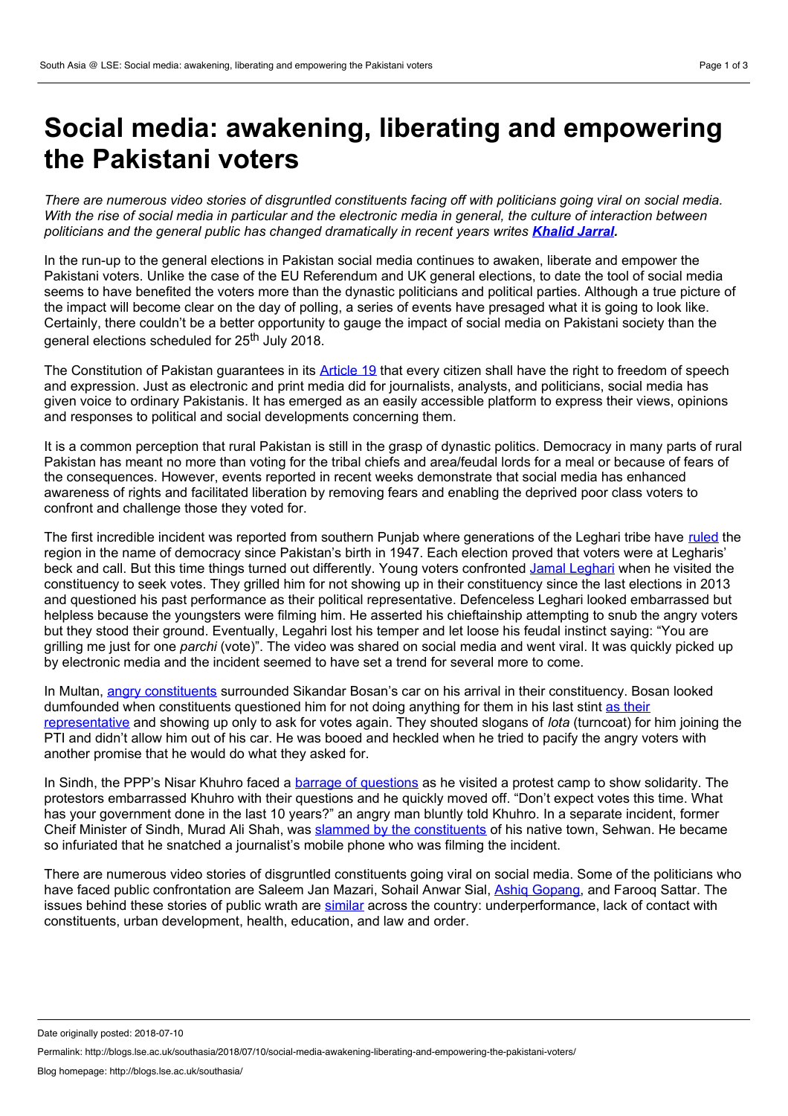## **Social media: awakening, liberating and empowering the Pakistani voters**

There are numerous video stories of disgruntled constituents facing off with politicians going viral on social media. With the rise of social media in particular and the electronic media in general, the culture of interaction between *politicians and the general public has changed dramatically in recent years writes [Khalid](https://www.nottingham.ac.uk/politics/people/khalid.jarral) Jarral.*

In the run-up to the general elections in Pakistan social media continues to awaken, liberate and empower the Pakistani voters. Unlike the case of the EU Referendum and UK general elections, to date the tool of social media seems to have benefited the voters more than the dynastic politicians and political parties. Although a true picture of the impact will become clear on the day of polling, a series of events have presaged what it is going to look like. Certainly, there couldn't be a better opportunity to gauge the impact of social media on Pakistani society than the general elections scheduled for 25<sup>th</sup> July 2018.

The Constitution of Pakistan guarantees in its [Article](http://na.gov.pk/uploads/documents/1333523681_951.pdf) 19 that every citizen shall have the right to freedom of speech and expression. Just as electronic and print media did for journalists, analysts, and politicians, social media has given voice to ordinary Pakistanis. It has emerged as an easily accessible platform to express their views, opinions and responses to political and social developments concerning them.

It is a common perception that rural Pakistan is still in the grasp of dynastic politics. Democracy in many parts of rural Pakistan has meant no more than voting for the tribal chiefs and area/feudal lords for a meal or because of fears of the consequences. However, events reported in recent weeks demonstrate that social media has enhanced awareness of rights and facilitated liberation by removing fears and enabling the deprived poor class voters to confront and challenge those they voted for.

The first incredible incident was reported from southern Punjab where generations of the Leghari tribe have [ruled](http://www.legharis.com/) the region in the name of democracy since Pakistan's birth in 1947. Each election proved that voters were at Legharis' beck and call. But this time things turned out differently. Young voters confronted Jamal [Leghari](https://www.dawn.com/news/1415276) when he visited the constituency to seek votes. They grilled him for not showing up in their constituency since the last elections in 2013 and questioned his past performance as their political representative. Defenceless Leghari looked embarrassed but helpless because the youngsters were filming him. He asserted his chieftainship attempting to snub the angry voters but they stood their ground. Eventually, Legahri lost his temper and let loose his feudal instinct saying: "You are grilling me just for one *parchi* (vote)". The video was shared on social media and went viral. It was quickly picked up by electronic media and the incident seemed to have set a trend for several more to come.

In Multan, angry [constituents](https://www.youtube.com/watch?v=CSoMsBckfio) surrounded Sikandar Bosan's car on his arrival in their constituency. Bosan looked dumfounded when constituents questioned him for not doing anything for them in his last stint as their [representative](https://tribune.com.pk/story/1741312/1-democracy-action-angry-voters-question-sikandar-hayat-bosan-performance/) and showing up only to ask for votes again. They shouted slogans of *lota* (turncoat) for him joining the PTI and didn't allow him out of his car. He was booed and heckled when he tried to pacify the angry voters with another promise that he would do what they asked for.

In Sindh, the PPP's Nisar Khuhro faced a barrage of [questions](https://www.samaa.tv/news/2018/06/watch-nisar-khuhro-faces-chants-of-shame-shame-in-larkana/) as he visited a protest camp to show solidarity. The protestors embarrassed Khuhro with their questions and he quickly moved off. "Don't expect votes this time. What has your government done in the last 10 years?" an angry man bluntly told Khuhro. In a separate incident, former Cheif Minister of Sindh, Murad Ali Shah, was slammed by the [constituents](https://www.newsone.tv/pakistan-news/murad-ali-shah-becomes-furious-over-his-native-constituents) of his native town, Sehwan. He became so infuriated that he snatched a journalist's mobile phone who was filming the incident.

There are numerous video stories of disgruntled constituents going viral on social media. Some of the politicians who have faced public confrontation are Saleem Jan Mazari, Sohail Anwar Sial, Ashiq [Gopang](https://www.dawn.com/news/1416365), and Farooq Sattar. The issues behind these stories of public wrath are [similar](https://tribune.com.pk/story/1744308/1-electables-face-disgruntled-voters-run-election/) across the country: underperformance, lack of contact with constituents, urban development, health, education, and law and order.

Date originally posted: 2018-07-10

Permalink: http://blogs.lse.ac.uk/southasia/2018/07/10/social-media-awakening-liberating-and-empowering-the-pakistani-voters/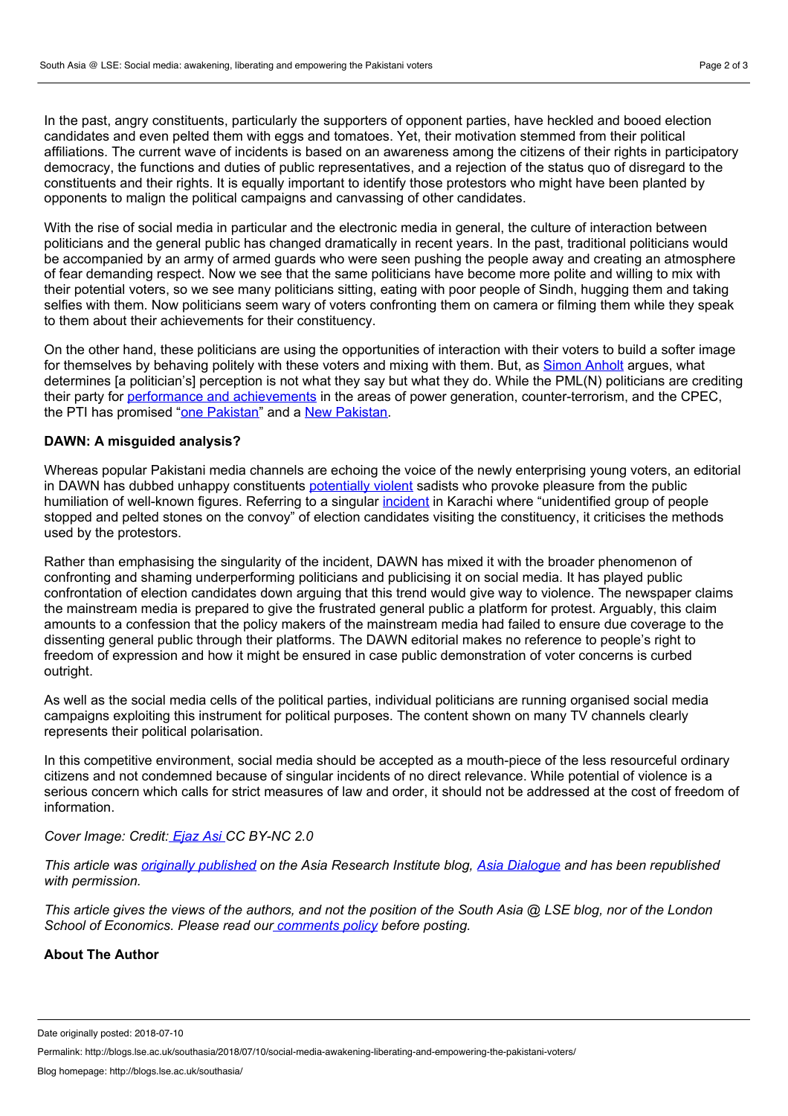In the past, angry constituents, particularly the supporters of opponent parties, have heckled and booed election candidates and even pelted them with eggs and tomatoes. Yet, their motivation stemmed from their political affiliations. The current wave of incidents is based on an awareness among the citizens of their rights in participatory democracy, the functions and duties of public representatives, and a rejection of the status quo of disregard to the constituents and their rights. It is equally important to identify those protestors who might have been planted by opponents to malign the political campaigns and canvassing of other candidates.

With the rise of social media in particular and the electronic media in general, the culture of interaction between politicians and the general public has changed dramatically in recent years. In the past, traditional politicians would be accompanied by an army of armed guards who were seen pushing the people away and creating an atmosphere of fear demanding respect. Now we see that the same politicians have become more polite and willing to mix with their potential voters, so we see many politicians sitting, eating with poor people of Sindh, hugging them and taking selfies with them. Now politicians seem wary of voters confronting them on camera or filming them while they speak to them about their achievements for their constituency.

On the other hand, these politicians are using the opportunities of interaction with their voters to build a softer image for themselves by behaving politely with these voters and mixing with them. But, as Simon [Anholt](https://goodcountry.org/simon-anholt) argues, what determines [a politician's] perception is notwhat they say butwhat they do. While the PML(N) politicians are crediting their party for performance and [achievements](https://nation.com.pk/03-Jun-2018/pml-n-to-reward-loyalists-with-election-tickets) in the areas of power generation, counter-terrorism, and the CPEC, the PTI has promised "one [Pakistan"](https://www.thenews.com.pk/print/310733-imran-gives-11-point-election-manifesto) and a New [Pakistan.](https://www.telegraph.co.uk/news/2018/04/30/imran-khan-unveils-populist-plan-launches-pakistan-election/)

## **DAWN: A misguided analysis?**

Whereas popular Pakistani media channels are echoing the voice of the newly enterprising young voters, an editorial in DAWN has dubbed unhappy constituents [potentially](https://www.dawn.com/news/1417629) violent sadists who provoke pleasure from the public humiliation of well-known figures. Referring to a singular [incident](https://www.dawn.com/news/1417254) in Karachi where "unidentified group of people stopped and pelted stones on the convoy" of election candidates visiting the constituency, it criticises the methods used by the protestors.

Rather than emphasising the singularity of the incident, DAWN has mixed it with the broader phenomenon of confronting and shaming underperforming politicians and publicising it on social media. It has played public confrontation of election candidates down arguing that this trend would give way to violence. The newspaper claims the mainstream media is prepared to give the frustrated general public a platform for protest. Arguably, this claim amounts to a confession that the policy makers of the mainstream media had failed to ensure due coverage to the dissenting general public through their platforms. The DAWN editorial makes no reference to people's right to freedom of expression and how it might be ensured in case public demonstration of voter concerns is curbed outright.

As well as the social media cells of the political parties, individual politicians are running organised social media campaigns exploiting this instrument for political purposes. The content shown on many TV channels clearly represents their political polarisation.

In this competitive environment, social media should be accepted as a mouth-piece of the less resourceful ordinary citizens and not condemned because of singular incidents of no direct relevance. While potential of violence is a serious concern which calls for strict measures of law and order, it should not be addressed at the cost of freedom of information.

*Cover Image: Credit: [Ejaz](https://www.flickr.com/photos/ejazasi/213770709/in/photolist-jTCzT-mVysY-oTX5Sg-pk27G7-4tQ7oJ-6qwafu-7vCYKs-7wBzJ3-bymu5A-pAMcD3-HS98c-5gfLss-HS5cS-4tL5Gt-2JGWBg-4gt7uq-2i1Xu7-54oHmo-aSTxkk-6wM1n-ejAXB4-pHUBkF-9vn4X9-6bgvhz-HS8R4-ioJfD-8PQp4H-7aeoEA-9scSNw-9ppdQf-oM5kua-oM73Ya-3WeBnx-z7BZU-46JcQK-2if7Zw-4gvPss-93L4o-4MSzR6-4MSwbg-8qDpXg-acTqoW-nerL14-jq27Wj-3u5c6t-j5gn5c-auTm6Q-pFP9Ph-coNZXo-9ZrpKS) Asi CC BY-NC 2.0*

This article was *originally [published](http://theasiadialogue.com/2018/07/04/social-media-awakening-liberating-and-empowering-the-pakistani-voters/)* on the Asia Research Institute blog. Asia [Dialogue](http://theasiadialogue.com/) and has been republished *with permission.*

This article gives the views of the authors, and not the position of the South Asia @ LSE blog, nor of the London *School of Economics. Please read ou[r](http://blogs.lse.ac.uk/southasia/2012/06/06/comments-policy/) [comments](http://blogs.lse.ac.uk/southasia/2012/06/06/comments-policy/) policy before posting.*

## **About The Author**

Date originally posted: 2018-07-10

Permalink: http://blogs.lse.ac.uk/southasia/2018/07/10/social-media-awakening-liberating-and-empowering-the-pakistani-voters/